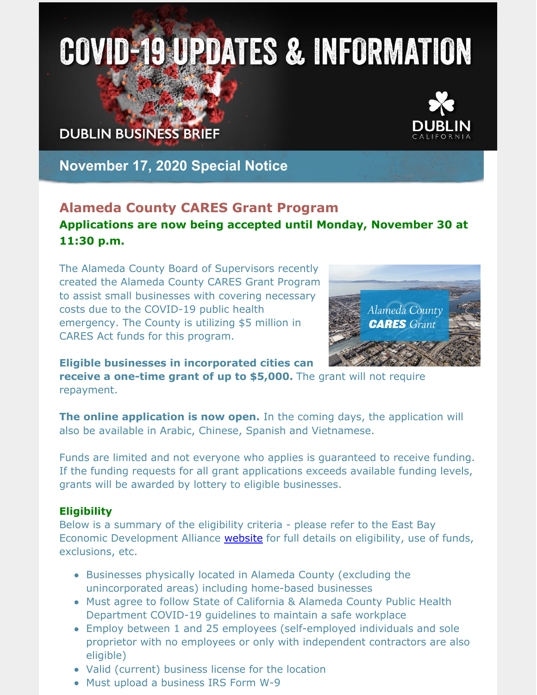# **COVID-19 UPDATES & INFORMATION**

# **DUBLIN BUSINESS BRIEF**



# **November 17, 2020 Special Notice**

## **Alameda County CARES Grant Program Applications are now being accepted until Monday, November 30 at 11:30 p.m.**

The Alameda County Board of Supervisors recently created the Alameda County CARES Grant Program to assist small businesses with covering necessary costs due to the COVID-19 public health emergency. The County is utilizing \$5 million in CARES Act funds for this program.



**Eligible businesses in incorporated cities can**

**receive a one-time grant of up to \$5,000.** The grant will not require repayment.

**The online application is now open.** In the coming days, the application will also be available in Arabic, Chinese, Spanish and Vietnamese.

Funds are limited and not everyone who applies is guaranteed to receive funding. If the funding requests for all grant applications exceeds available funding levels, grants will be awarded by lottery to eligible businesses.

#### **Eligibility**

Below is a summary of the eligibility criteria - please refer to the East Bay Economic Development Alliance **[website](https://eastbayeda.org/grants)** for full details on eligibility, use of funds, exclusions, etc.

- Businesses physically located in Alameda County (excluding the unincorporated areas) including home-based businesses
- Must agree to follow State of California & Alameda County Public Health Department COVID-19 guidelines to maintain a safe workplace
- Employ between 1 and 25 employees (self-employed individuals and sole proprietor with no employees or only with independent contractors are also eligible)
- Valid (current) business license for the location
- Must upload a business IRS Form W-9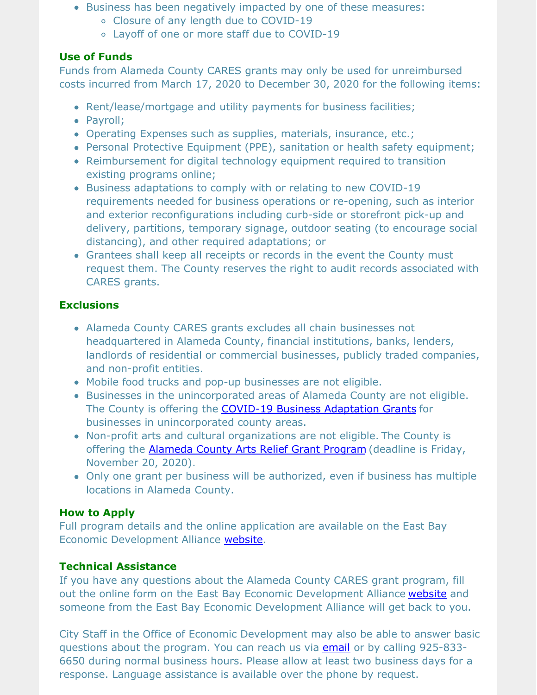- Business has been negatively impacted by one of these measures:
	- Closure of any length due to COVID-19
	- Layoff of one or more staff due to COVID-19

#### **Use of Funds**

Funds from Alameda County CARES grants may only be used for unreimbursed costs incurred from March 17, 2020 to December 30, 2020 for the following items:

- Rent/lease/mortgage and utility payments for business facilities;
- Payroll;
- Operating Expenses such as supplies, materials, insurance, etc.;
- Personal Protective Equipment (PPE), sanitation or health safety equipment;
- Reimbursement for digital technology equipment required to transition existing programs online;
- Business adaptations to comply with or relating to new COVID-19 requirements needed for business operations or re-opening, such as interior and exterior reconfigurations including curb-side or storefront pick-up and delivery, partitions, temporary signage, outdoor seating (to encourage social distancing), and other required adaptations; or
- Grantees shall keep all receipts or records in the event the County must request them. The County reserves the right to audit records associated with CARES grants.

#### **Exclusions**

- Alameda County CARES grants excludes all chain businesses not headquartered in Alameda County, financial institutions, banks, lenders, landlords of residential or commercial businesses, publicly traded companies, and non-profit entities.
- Mobile food trucks and pop-up businesses are not eligible.
- Businesses in the unincorporated areas of Alameda County are not eligible. The County is offering the COVID-19 Business [Adaptation](http://www.edenupgrade.org/) Grants for businesses in unincorporated county areas.
- Non-profit arts and cultural organizations are not eligible. The County is offering the [Alameda](https://www.acgov.org/arts/html/whats_new.html) County Arts Relief Grant Program (deadline is Friday, November 20, 2020).
- Only one grant per business will be authorized, even if business has multiple locations in Alameda County.

#### **How to Apply**

Full program details and the online application are available on the East Bay Economic Development Alliance [website](https://eastbayeda.org/grants/).

#### **Technical Assistance**

If you have any questions about the Alameda County CARES grant program, fill out the online form on the East Bay Economic Development Alliance [website](https://eastbayeda.org/grants) and someone from the East Bay Economic Development Alliance will get back to you.

City Staff in the Office of Economic Development may also be able to answer basic questions about the program. You can reach us via [email](mailto:economic.development@dublin.ca.gov) or by calling 925-833- 6650 during normal business hours. Please allow at least two business days for a response. Language assistance is available over the phone by request.